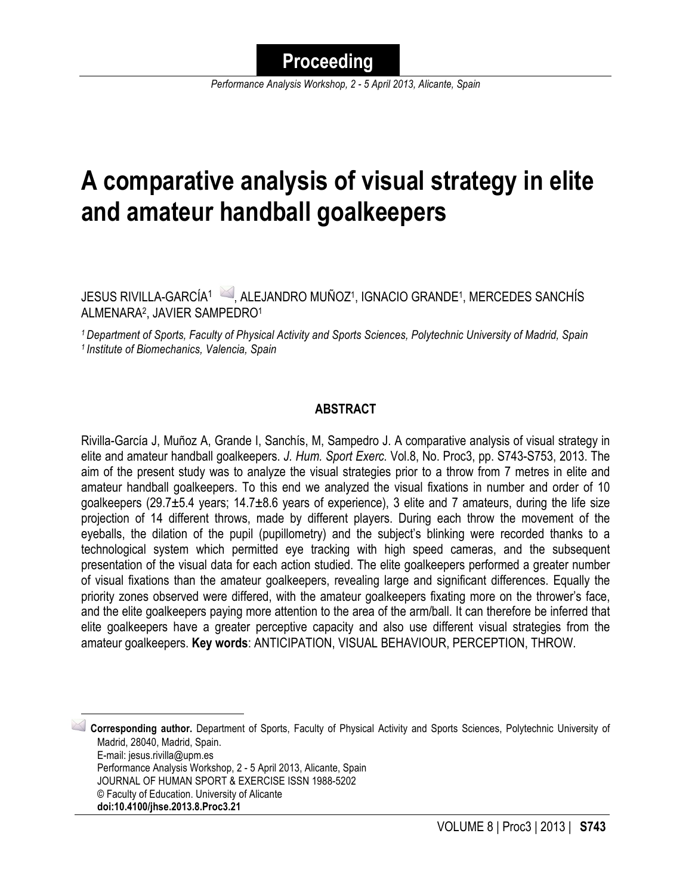*Performance Analysis Workshop, 2 - 5 April 2013, Alicante, Spain*

# **A comparative analysis of visual strategy in elite and amateur handball goalkeepers**

JESUS RIVILLA-GARCÍA<sup>1</sup> , ALEJANDRO MUÑOZ<sup>1</sup>, IGNACIO GRANDE<sup>1</sup>, MERCEDES SANCHÍS ALMENARA2, JAVIER SAMPEDRO1

*1 Department of Sports, Faculty of Physical Activity and Sports Sciences, Polytechnic University of Madrid, Spain 1 Institute of Biomechanics, Valencia, Spain*

#### **ABSTRACT**

Rivilla-García J, Muñoz A, Grande I, Sanchís, M, Sampedro J. A comparative analysis of visual strategy in elite and amateur handball goalkeepers. *J. Hum. Sport Exerc.* Vol.8, No. Proc3, pp. S743-S753, 2013. The aim of the present study was to analyze the visual strategies prior to a throw from 7 metres in elite and amateur handball goalkeepers. To this end we analyzed the visual fixations in number and order of 10 goalkeepers (29.7±5.4 years; 14.7±8.6 years of experience), 3 elite and 7 amateurs, during the life size projection of 14 different throws, made by different players. During each throw the movement of the eyeballs, the dilation of the pupil (pupillometry) and the subject's blinking were recorded thanks to a technological system which permitted eye tracking with high speed cameras, and the subsequent presentation of the visual data for each action studied. The elite goalkeepers performed a greater number of visual fixations than the amateur goalkeepers, revealing large and significant differences. Equally the priority zones observed were differed, with the amateur goalkeepers fixating more on the thrower's face, and the elite goalkeepers paying more attention to the area of the arm/ball. It can therefore be inferred that elite goalkeepers have a greater perceptive capacity and also use different visual strategies from the amateur goalkeepers. **Key words**: ANTICIPATION, VISUAL BEHAVIOUR, PERCEPTION, THROW.

 1 **Corresponding author.** Department of Sports, Faculty of Physical Activity and Sports Sciences, Polytechnic University of Madrid, 28040, Madrid, Spain. E-mail: jesus.rivilla@upm.es Performance Analysis Workshop, 2 - 5 April 2013, Alicante, Spain JOURNAL OF HUMAN SPORT & EXERCISE ISSN 1988-5202 © Faculty of Education. University of Alicante **doi:10.4100/jhse.2013.8.Proc3.21**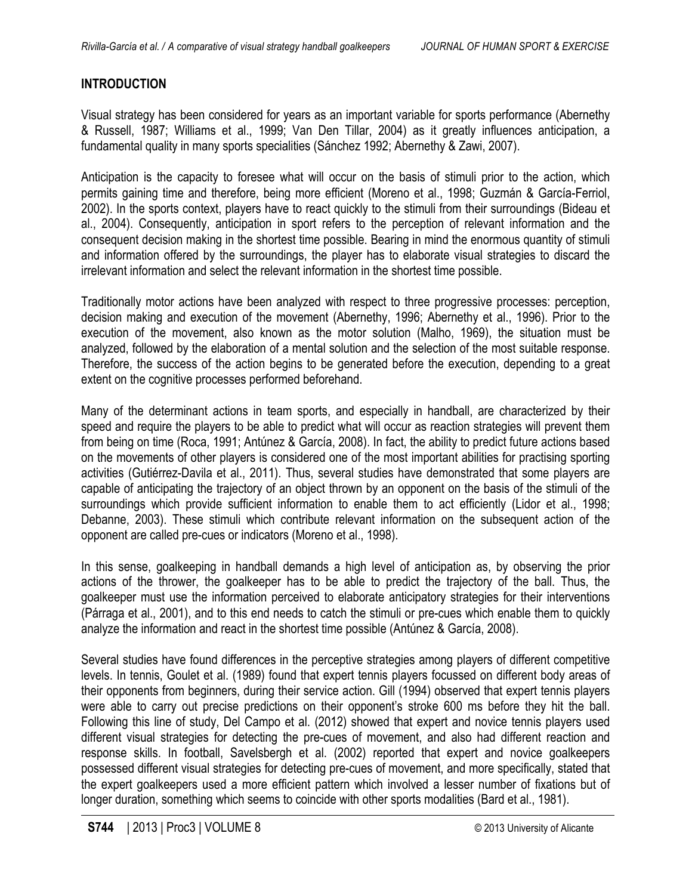# **INTRODUCTION**

Visual strategy has been considered for years as an important variable for sports performance (Abernethy & Russell, 1987; Williams et al., 1999; Van Den Tillar, 2004) as it greatly influences anticipation, a fundamental quality in many sports specialities (Sánchez 1992; Abernethy & Zawi, 2007).

Anticipation is the capacity to foresee what will occur on the basis of stimuli prior to the action, which permits gaining time and therefore, being more efficient (Moreno et al., 1998; Guzmán & García-Ferriol, 2002). In the sports context, players have to react quickly to the stimuli from their surroundings (Bideau et al., 2004). Consequently, anticipation in sport refers to the perception of relevant information and the consequent decision making in the shortest time possible. Bearing in mind the enormous quantity of stimuli and information offered by the surroundings, the player has to elaborate visual strategies to discard the irrelevant information and select the relevant information in the shortest time possible.

Traditionally motor actions have been analyzed with respect to three progressive processes: perception, decision making and execution of the movement (Abernethy, 1996; Abernethy et al., 1996). Prior to the execution of the movement, also known as the motor solution (Malho, 1969), the situation must be analyzed, followed by the elaboration of a mental solution and the selection of the most suitable response. Therefore, the success of the action begins to be generated before the execution, depending to a great extent on the cognitive processes performed beforehand.

Many of the determinant actions in team sports, and especially in handball, are characterized by their speed and require the players to be able to predict what will occur as reaction strategies will prevent them from being on time (Roca, 1991; Antúnez & García, 2008). In fact, the ability to predict future actions based on the movements of other players is considered one of the most important abilities for practising sporting activities (Gutiérrez-Davila et al., 2011). Thus, several studies have demonstrated that some players are capable of anticipating the trajectory of an object thrown by an opponent on the basis of the stimuli of the surroundings which provide sufficient information to enable them to act efficiently (Lidor et al., 1998; Debanne, 2003). These stimuli which contribute relevant information on the subsequent action of the opponent are called pre-cues or indicators (Moreno et al., 1998).

In this sense, goalkeeping in handball demands a high level of anticipation as, by observing the prior actions of the thrower, the goalkeeper has to be able to predict the trajectory of the ball. Thus, the goalkeeper must use the information perceived to elaborate anticipatory strategies for their interventions (Párraga et al., 2001), and to this end needs to catch the stimuli or pre-cues which enable them to quickly analyze the information and react in the shortest time possible (Antúnez & García, 2008).

Several studies have found differences in the perceptive strategies among players of different competitive levels. In tennis, Goulet et al. (1989) found that expert tennis players focussed on different body areas of their opponents from beginners, during their service action. Gill (1994) observed that expert tennis players were able to carry out precise predictions on their opponent's stroke 600 ms before they hit the ball. Following this line of study, Del Campo et al. (2012) showed that expert and novice tennis players used different visual strategies for detecting the pre-cues of movement, and also had different reaction and response skills. In football, Savelsbergh et al. (2002) reported that expert and novice goalkeepers possessed different visual strategies for detecting pre-cues of movement, and more specifically, stated that the expert goalkeepers used a more efficient pattern which involved a lesser number of fixations but of longer duration, something which seems to coincide with other sports modalities (Bard et al., 1981).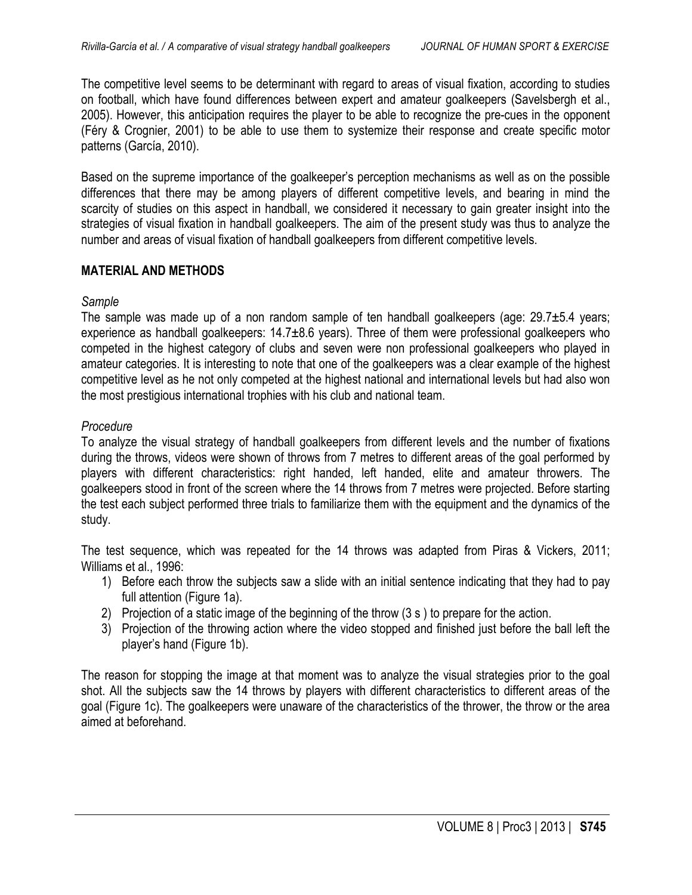The competitive level seems to be determinant with regard to areas of visual fixation, according to studies on football, which have found differences between expert and amateur goalkeepers (Savelsbergh et al., 2005). However, this anticipation requires the player to be able to recognize the pre-cues in the opponent (Féry & Crognier, 2001) to be able to use them to systemize their response and create specific motor patterns (García, 2010).

Based on the supreme importance of the goalkeeper's perception mechanisms as well as on the possible differences that there may be among players of different competitive levels, and bearing in mind the scarcity of studies on this aspect in handball, we considered it necessary to gain greater insight into the strategies of visual fixation in handball goalkeepers. The aim of the present study was thus to analyze the number and areas of visual fixation of handball goalkeepers from different competitive levels.

## **MATERIAL AND METHODS**

### *Sample*

The sample was made up of a non random sample of ten handball goalkeepers (age:  $29.7\pm5.4$  years; experience as handball goalkeepers: 14.7±8.6 years). Three of them were professional goalkeepers who competed in the highest category of clubs and seven were non professional goalkeepers who played in amateur categories. It is interesting to note that one of the goalkeepers was a clear example of the highest competitive level as he not only competed at the highest national and international levels but had also won the most prestigious international trophies with his club and national team.

## *Procedure*

To analyze the visual strategy of handball goalkeepers from different levels and the number of fixations during the throws, videos were shown of throws from 7 metres to different areas of the goal performed by players with different characteristics: right handed, left handed, elite and amateur throwers. The goalkeepers stood in front of the screen where the 14 throws from 7 metres were projected. Before starting the test each subject performed three trials to familiarize them with the equipment and the dynamics of the study.

The test sequence, which was repeated for the 14 throws was adapted from Piras & Vickers, 2011; Williams et al., 1996:

- 1) Before each throw the subjects saw a slide with an initial sentence indicating that they had to pay full attention (Figure 1a).
- 2) Projection of a static image of the beginning of the throw (3 s ) to prepare for the action.
- 3) Projection of the throwing action where the video stopped and finished just before the ball left the player's hand (Figure 1b).

The reason for stopping the image at that moment was to analyze the visual strategies prior to the goal shot. All the subjects saw the 14 throws by players with different characteristics to different areas of the goal (Figure 1c). The goalkeepers were unaware of the characteristics of the thrower, the throw or the area aimed at beforehand.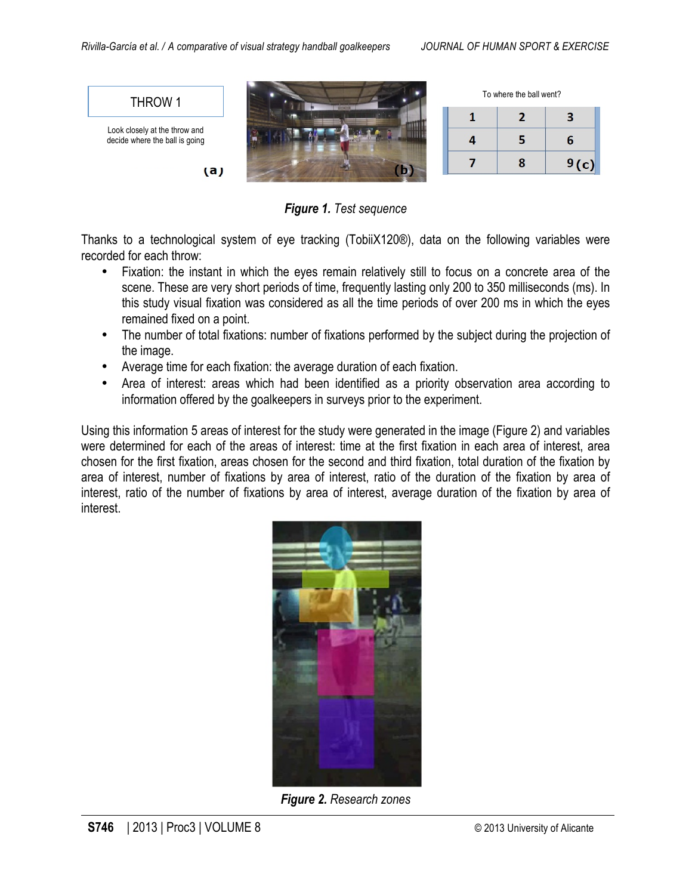

*Figure 1. Test sequence*

Thanks to a technological system of eye tracking (TobiiX120®), data on the following variables were recorded for each throw:

- Fixation: the instant in which the eyes remain relatively still to focus on a concrete area of the scene. These are very short periods of time, frequently lasting only 200 to 350 milliseconds (ms). In this study visual fixation was considered as all the time periods of over 200 ms in which the eyes remained fixed on a point.
- The number of total fixations: number of fixations performed by the subject during the projection of the image.
- Average time for each fixation: the average duration of each fixation.
- Area of interest: areas which had been identified as a priority observation area according to information offered by the goalkeepers in surveys prior to the experiment.

Using this information 5 areas of interest for the study were generated in the image (Figure 2) and variables were determined for each of the areas of interest: time at the first fixation in each area of interest, area chosen for the first fixation, areas chosen for the second and third fixation, total duration of the fixation by area of interest, number of fixations by area of interest, ratio of the duration of the fixation by area of interest, ratio of the number of fixations by area of interest, average duration of the fixation by area of interest.



*Figure 2. Research zones*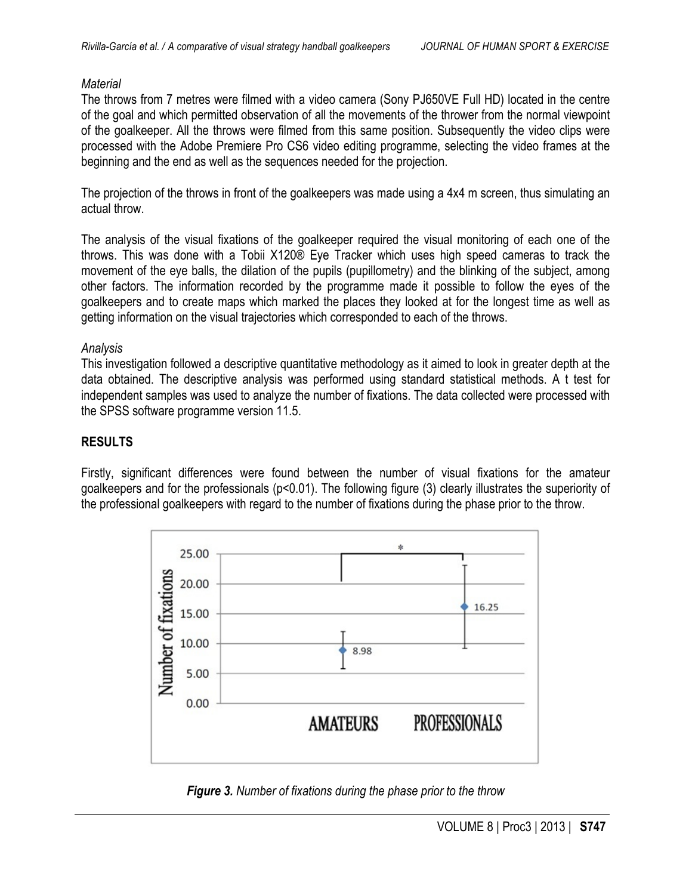### *Material*

The throws from 7 metres were filmed with a video camera (Sony PJ650VE Full HD) located in the centre of the goal and which permitted observation of all the movements of the thrower from the normal viewpoint of the goalkeeper. All the throws were filmed from this same position. Subsequently the video clips were processed with the Adobe Premiere Pro CS6 video editing programme, selecting the video frames at the beginning and the end as well as the sequences needed for the projection.

The projection of the throws in front of the goalkeepers was made using a 4x4 m screen, thus simulating an actual throw.

The analysis of the visual fixations of the goalkeeper required the visual monitoring of each one of the throws. This was done with a Tobii X120® Eye Tracker which uses high speed cameras to track the movement of the eye balls, the dilation of the pupils (pupillometry) and the blinking of the subject, among other factors. The information recorded by the programme made it possible to follow the eyes of the goalkeepers and to create maps which marked the places they looked at for the longest time as well as getting information on the visual trajectories which corresponded to each of the throws.

### *Analysis*

This investigation followed a descriptive quantitative methodology as it aimed to look in greater depth at the data obtained. The descriptive analysis was performed using standard statistical methods. A t test for independent samples was used to analyze the number of fixations. The data collected were processed with the SPSS software programme version 11.5.

# **RESULTS**

Firstly, significant differences were found between the number of visual fixations for the amateur goalkeepers and for the professionals (p<0.01). The following figure (3) clearly illustrates the superiority of the professional goalkeepers with regard to the number of fixations during the phase prior to the throw.



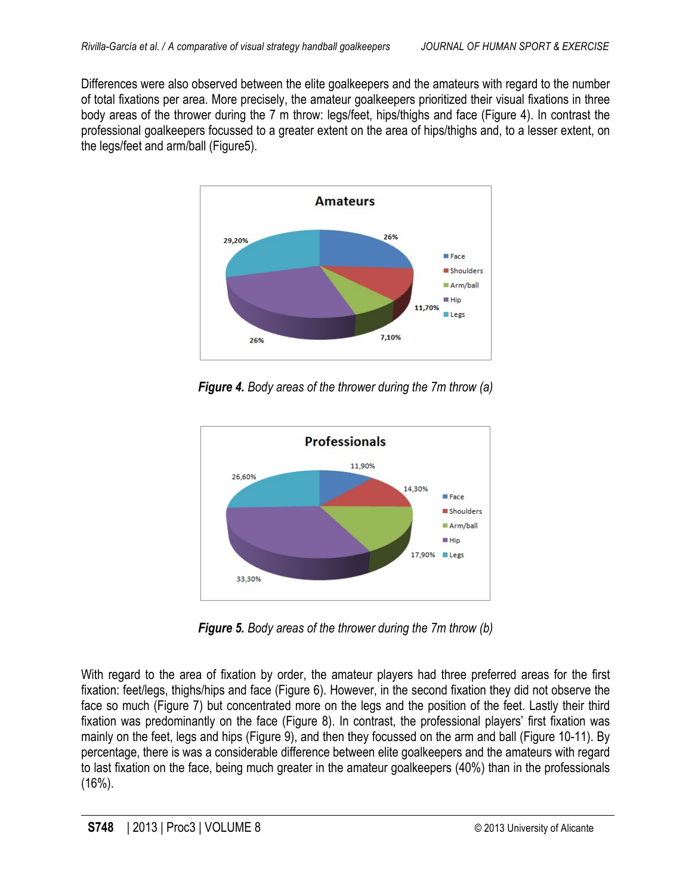Differences were also observed between the elite goalkeepers and the amateurs with regard to the number of total fixations per area. More precisely, the amateur goalkeepers prioritized their visual fixations in three body areas of the thrower during the 7 m throw: legs/feet, hips/thighs and face (Figure 4). In contrast the professional goalkeepers focussed to a greater extent on the area of hips/thighs and, to a lesser extent, on the legs/feet and arm/ball (Figure5).



*Figure 4. Body areas of the thrower during the 7m throw (a)*



*Figure 5. Body areas of the thrower during the 7m throw (b)*

With regard to the area of fixation by order, the amateur players had three preferred areas for the first fixation: feet/legs, thighs/hips and face (Figure 6). However, in the second fixation they did not observe the face so much (Figure 7) but concentrated more on the legs and the position of the feet. Lastly their third fixation was predominantly on the face (Figure 8). In contrast, the professional players' first fixation was mainly on the feet, legs and hips (Figure 9), and then they focussed on the arm and ball (Figure 10-11). By percentage, there is was a considerable difference between elite goalkeepers and the amateurs with regard to last fixation on the face, being much greater in the amateur goalkeepers (40%) than in the professionals (16%).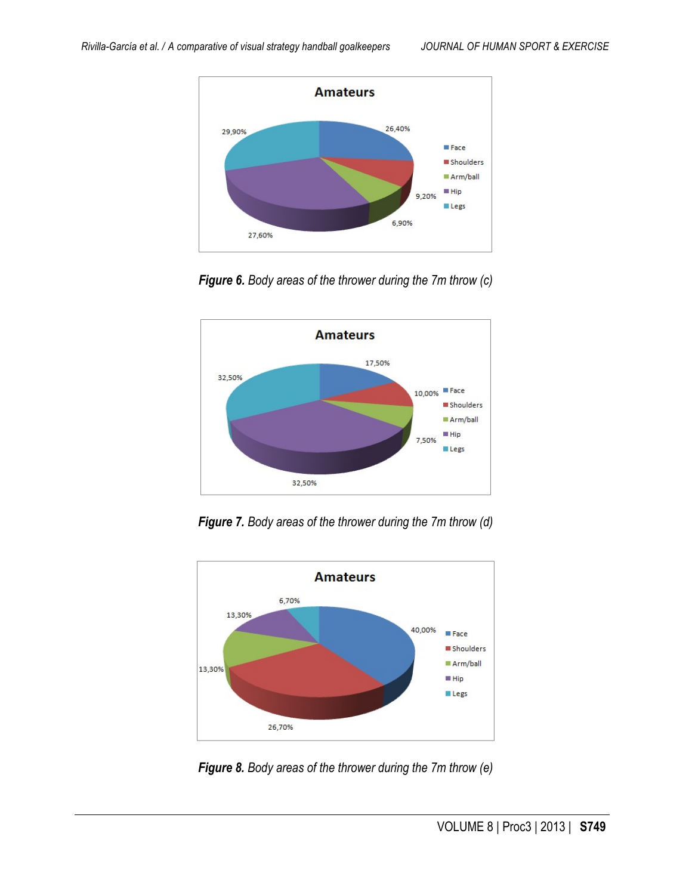

*Figure 6. Body areas of the thrower during the 7m throw (c)*



*Figure 7. Body areas of the thrower during the 7m throw (d)*



*Figure 8. Body areas of the thrower during the 7m throw (e)*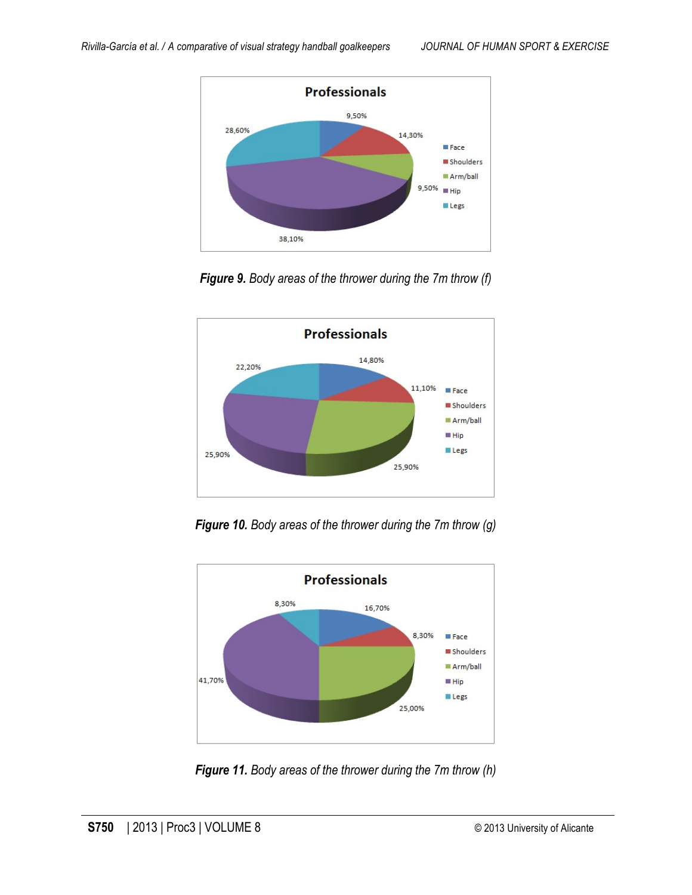

*Figure 9. Body areas of the thrower during the 7m throw (f)*



*Figure 10. Body areas of the thrower during the 7m throw (g)*



*Figure 11. Body areas of the thrower during the 7m throw (h)*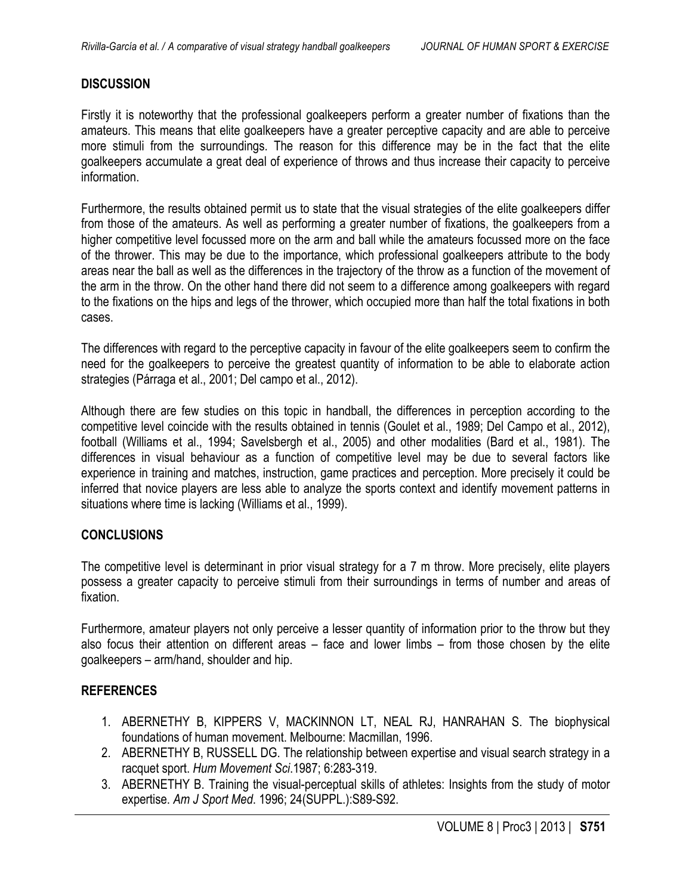#### **DISCUSSION**

Firstly it is noteworthy that the professional goalkeepers perform a greater number of fixations than the amateurs. This means that elite goalkeepers have a greater perceptive capacity and are able to perceive more stimuli from the surroundings. The reason for this difference may be in the fact that the elite goalkeepers accumulate a great deal of experience of throws and thus increase their capacity to perceive information.

Furthermore, the results obtained permit us to state that the visual strategies of the elite goalkeepers differ from those of the amateurs. As well as performing a greater number of fixations, the goalkeepers from a higher competitive level focussed more on the arm and ball while the amateurs focussed more on the face of the thrower. This may be due to the importance, which professional goalkeepers attribute to the body areas near the ball as well as the differences in the trajectory of the throw as a function of the movement of the arm in the throw. On the other hand there did not seem to a difference among goalkeepers with regard to the fixations on the hips and legs of the thrower, which occupied more than half the total fixations in both cases.

The differences with regard to the perceptive capacity in favour of the elite goalkeepers seem to confirm the need for the goalkeepers to perceive the greatest quantity of information to be able to elaborate action strategies (Párraga et al., 2001; Del campo et al., 2012).

Although there are few studies on this topic in handball, the differences in perception according to the competitive level coincide with the results obtained in tennis (Goulet et al., 1989; Del Campo et al., 2012), football (Williams et al., 1994; Savelsbergh et al., 2005) and other modalities (Bard et al., 1981). The differences in visual behaviour as a function of competitive level may be due to several factors like experience in training and matches, instruction, game practices and perception. More precisely it could be inferred that novice players are less able to analyze the sports context and identify movement patterns in situations where time is lacking (Williams et al., 1999).

#### **CONCLUSIONS**

The competitive level is determinant in prior visual strategy for a 7 m throw. More precisely, elite players possess a greater capacity to perceive stimuli from their surroundings in terms of number and areas of fixation.

Furthermore, amateur players not only perceive a lesser quantity of information prior to the throw but they also focus their attention on different areas – face and lower limbs – from those chosen by the elite goalkeepers – arm/hand, shoulder and hip.

#### **REFERENCES**

- 1. ABERNETHY B, KIPPERS V, MACKINNON LT, NEAL RJ, HANRAHAN S. The biophysical foundations of human movement. Melbourne: Macmillan, 1996.
- 2. ABERNETHY B, RUSSELL DG. The relationship between expertise and visual search strategy in a racquet sport. *Hum Movement Sci*.1987; 6:283-319.
- 3. ABERNETHY B. Training the visual-perceptual skills of athletes: Insights from the study of motor expertise. *Am J Sport Med*. 1996; 24(SUPPL.):S89-S92.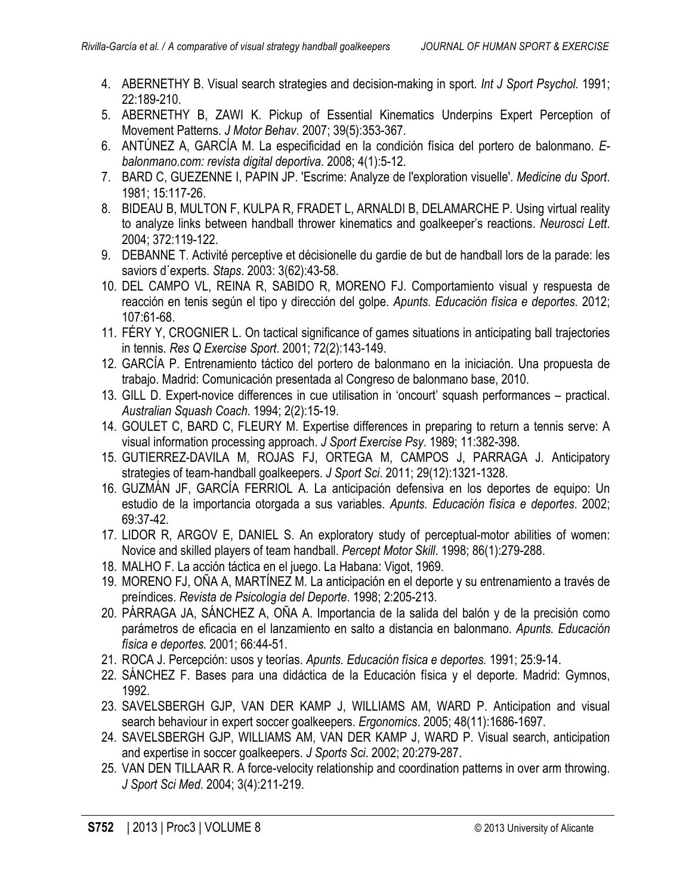- 4. ABERNETHY B. Visual search strategies and decision-making in sport. *Int J Sport Psychol*. 1991; 22:189-210.
- 5. ABERNETHY B, ZAWI K. Pickup of Essential Kinematics Underpins Expert Perception of Movement Patterns. *J Motor Behav*. 2007; 39(5):353-367.
- 6. ANTÚNEZ A, GARCÍA M. La especificidad en la condición física del portero de balonmano. *Ebalonmano.com: revista digital deportiva*. 2008; 4(1):5-12.
- 7. BARD C, GUEZENNE I, PAPIN JP. 'Escrime: Analyze de l'exploration visuelle'. *Medicine du Sport*. 1981; 15:117-26.
- 8. BIDEAU B, MULTON F, KULPA R, FRADET L, ARNALDI B, DELAMARCHE P. Using virtual reality to analyze links between handball thrower kinematics and goalkeeper's reactions. *Neurosci Lett*. 2004; 372:119-122.
- 9. DEBANNE T. Activité perceptive et décisionelle du gardie de but de handball lors de la parade: les saviors d´experts. *Staps*. 2003: 3(62):43-58.
- 10. DEL CAMPO VL, REINA R, SABIDO R, MORENO FJ. Comportamiento visual y respuesta de reacción en tenis según el tipo y dirección del golpe. *Apunts. Educación física e deportes*. 2012; 107:61-68.
- 11. FÉRY Y, CROGNIER L. On tactical significance of games situations in anticipating ball trajectories in tennis. *Res Q Exercise Sport*. 2001; 72(2):143-149.
- 12. GARCÍA P. Entrenamiento táctico del portero de balonmano en la iniciación. Una propuesta de trabajo. Madrid: Comunicación presentada al Congreso de balonmano base, 2010.
- 13. GILL D. Expert-novice differences in cue utilisation in 'oncourt' squash performances practical. *Australian Squash Coach*. 1994; 2(2):15-19.
- 14. GOULET C, BARD C, FLEURY M. Expertise differences in preparing to return a tennis serve: A visual information processing approach. *J Sport Exercise Psy*. 1989; 11:382-398.
- 15. GUTIERREZ-DAVILA M, ROJAS FJ, ORTEGA M, CAMPOS J, PARRAGA J. Anticipatory strategies of team-handball goalkeepers. *J Sport Sci*. 2011; 29(12):1321-1328.
- 16. GUZMÁN JF, GARCÍA FERRIOL A. La anticipación defensiva en los deportes de equipo: Un estudio de la importancia otorgada a sus variables. *Apunts. Educación física e deportes*. 2002; 69:37-42.
- 17. LIDOR R, ARGOV E, DANIEL S. An exploratory study of perceptual-motor abilities of women: Novice and skilled players of team handball. *Percept Motor Skill*. 1998; 86(1):279-288.
- 18. MALHO F. La acción táctica en el juego. La Habana: Vigot, 1969.
- 19. MORENO FJ, OÑA A, MARTÍNEZ M. La anticipación en el deporte y su entrenamiento a través de preíndices. *Revista de Psicología del Deporte*. 1998; 2:205-213.
- 20. PÁRRAGA JA, SÁNCHEZ A, OÑA A. Importancia de la salida del balón y de la precisión como parámetros de eficacia en el lanzamiento en salto a distancia en balonmano. *Apunts. Educación física e deportes.* 2001; 66:44-51.
- 21. ROCA J. Percepción: usos y teorías. *Apunts. Educación física e deportes.* 1991; 25:9-14.
- 22. SÁNCHEZ F. Bases para una didáctica de la Educación física y el deporte. Madrid: Gymnos, 1992.
- 23. SAVELSBERGH GJP, VAN DER KAMP J, WILLIAMS AM, WARD P. Anticipation and visual search behaviour in expert soccer goalkeepers. *Ergonomics*. 2005; 48(11):1686-1697.
- 24. SAVELSBERGH GJP, WILLIAMS AM, VAN DER KAMP J, WARD P. Visual search, anticipation and expertise in soccer goalkeepers. *J Sports Sci*. 2002; 20:279-287.
- 25. VAN DEN TILLAAR R. A force-velocity relationship and coordination patterns in over arm throwing. *J Sport Sci Med*. 2004; 3(4):211-219.